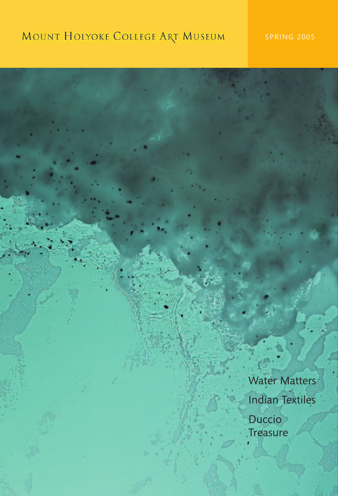# MOUNT HOLYOKE COLLEGE ART MUSEUM

Water Matters Indian Textiles

Duccio **Treasure**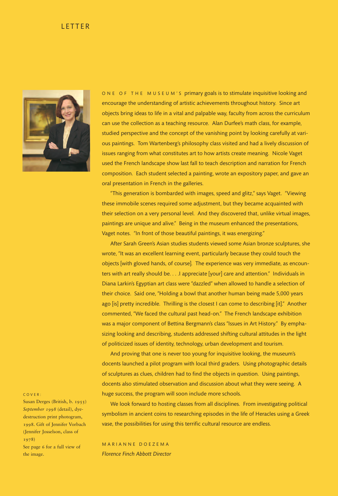#### LETTER



ONE OF THE MUSEUM'S primary goals is to stimulate inquisitive looking and encourage the understanding of artistic achievements throughout history. Since art objects bring ideas to life in a vital and palpable way, faculty from across the curriculum can use the collection as a teaching resource. Alan Durfee's math class, for example, studied perspective and the concept of the vanishing point by looking carefully at various paintings. Tom Wartenberg's philosophy class visited and had a lively discussion of issues ranging from what constitutes art to how artists create meaning. Nicole Vaget used the French landscape show last fall to teach description and narration for French composition. Each student selected a painting, wrote an expository paper, and gave an oral presentation in French in the galleries.

"This generation is bombarded with images, speed and glitz," says Vaget. "Viewing these immobile scenes required some adjustment, but they became acquainted with their selection on a very personal level. And they discovered that, unlike virtual images, paintings are unique and alive." Being in the museum enhanced the presentations, Vaget notes. "In front of those beautiful paintings, it was energizing."

After Sarah Green's Asian studies students viewed some Asian bronze sculptures, she wrote, "It was an excellent learning event, particularly because they could touch the objects [with gloved hands, of course]. The experience was very immediate, as encounters with art really should be. . . .I appreciate [your] care and attention." Individuals in Diana Larkin's Egyptian art class were "dazzled" when allowed to handle a selection of their choice. Said one, "Holding a bowl that another human being made 5,000 years ago [is] pretty incredible. Thrilling is the closest I can come to describing [it]." Another commented, "We faced the cultural past head-on." The French landscape exhibition was a major component of Bettina Bergmann's class "Issues in Art History." By emphasizing looking and describing, students addressed shifting cultural attitudes in the light of politicized issues of identity, technology, urban development and tourism.

And proving that one is never too young for inquisitive looking, the museum's docents launched a pilot program with local third graders. Using photographic details of sculptures as clues, children had to find the objects in question. Using paintings, docents also stimulated observation and discussion about what they were seeing. A huge success, the program will soon include more schools.

We look forward to hosting classes from all disciplines. From investigating political symbolism in ancient coins to researching episodes in the life of Heracles using a Greek vase, the possibilities for using this terrific cultural resource are endless.

MARIANNE DOEZEMA *Florence Finch Abbott Director*

#### C O VER:

Susan Derges (British, b. 1955) *September 1998* (detail), dyedestruction print photogram, 1998. Gift of Jennifer Vorbach (Jennifer Josselson, class of 1978) See page 6 for a full view of

the image.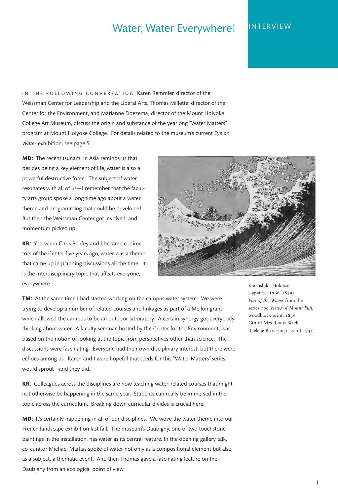# Water, Water Everywhere! INTERVIEW

IN THE FOLLOWING CONVERSATION Karen Remmler, director of the Weissman Center for Leadership and the Liberal Arts, Thomas Millette, director of the Center for the Environment, and Marianne Doezema, director of the Mount Holyoke College Art Museum, discuss the origin and substance of the yearlong "Water Matters" program at Mount Holyoke College. For details related to the museum's current *Eye on Water* exhibition, see page 5.

**MD:** The recent tsunami in Asia reminds us that besides being a key element of life, water is also a powerful destructive force. The subject of water resonates with all of us—I remember that the faculty arts group spoke a long time ago about a water theme and programming that could be developed. But then the Weissman Center got involved, and momentum picked up.

**KR:** Yes, when Chris Benfey and I became codirectors of the Center five years ago, water was a theme that came up in planning discussions all the time. It is the interdisciplinary topic that affects everyone, everywhere.



**TM:** At the same time I had started working on the campus water system. We were trying to develop a number of related courses and linkages as part of a Mellon grant which allowed the campus to be an outdoor laboratory. A certain synergy got everybody thinking about water. A faculty seminar, hosted by the Center for the Environment, was based on the notion of looking at the topic from perspectives other than science. The discussions were fascinating. Everyone had their own disciplinary interest, but there were echoes among us. Karen and I were hopeful that seeds for this "Water Matters" series would sprout—and they did.

**KR:** Colleagues across the disciplines are now teaching water-related courses that might not otherwise be happening in the same year. Students can really be immersed in the topic across the curriculum. Breaking down curricular divides is crucial here.

**MD:** It's certainly happening in all of our disciplines. We wove the water theme into our French landscape exhibition last fall. The museum's Daubigny, one of two touchstone paintings in the installation, has water as its central feature. In the opening gallery talk, co-curator Michael Marlais spoke of water not only as a compositional element but also as a subject, a thematic event. And then Thomas gave a fascinating lecture on the Daubigny from an ecological point of view.

Katsushika Hokusai (Japanese 1760–1849) *Fuji of the Waves* from the series *100 Views of Mount Fuji,* woodblock print, 1836 Gift of Mrs. Louis Black (Helene Brosseau, class of 1931)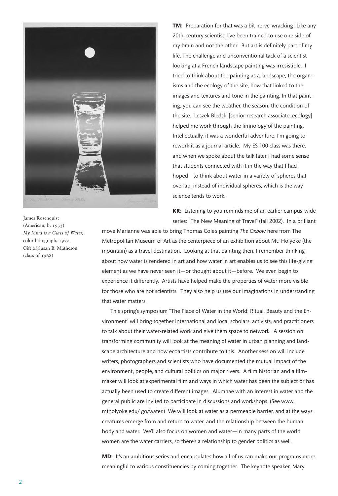

James Rosenquist (American, b. 1933) *My Mind is a Glass of Water,* color lithograph, 1972 Gift of Susan B. Matheson (class of 1968)

**TM:** Preparation for that was a bit nerve-wracking! Like any 20th-century scientist, I've been trained to use one side of my brain and not the other. But art is definitely part of my life. The challenge and unconventional tack of a scientist looking at a French landscape painting was irresistible. I tried to think about the painting as a landscape, the organisms and the ecology of the site, how that linked to the images and textures and tone in the painting. In that painting, you can see the weather, the season, the condition of the site. Leszek Bledski [senior research associate, ecology] helped me work through the limnology of the painting. Intellectually, it was a wonderful adventure; I'm going to rework it as a journal article. My ES 100 class was there, and when we spoke about the talk later I had some sense that students connected with it in the way that I had hoped—to think about water in a variety of spheres that overlap, instead of individual spheres, which is the way science tends to work.

**KR:** Listening to you reminds me of an earlier campus-wide series: "The New Meaning of Travel" (fall 2002). In a brilliant

move Marianne was able to bring Thomas Cole's painting *The Oxbow* here from The Metropolitan Museum of Art as the centerpiece of an exhibition about Mt. Holyoke (the mountain) as a travel destination. Looking at that painting then, I remember thinking about how water is rendered in art and how water in art enables us to see this life-giving element as we have never seen it—or thought about it—before. We even begin to experience it differently. Artists have helped make the properties of water more visible for those who are not scientists. They also help us use our imaginations in understanding that water matters.

This spring's symposium "The Place of Water in the World: Ritual, Beauty and the Environment" will bring together international and local scholars, activists, and practitioners to talk about their water-related work and give them space to network. A session on transforming community will look at the meaning of water in urban planning and landscape architecture and how ecoartists contribute to this. Another session will include writers, photographers and scientists who have documented the mutual impact of the environment, people, and cultural politics on major rivers. A film historian and a filmmaker will look at experimental film and ways in which water has been the subject or has actually been used to create different images. Alumnae with an interest in water and the general public are invited to participate in discussions and workshops. (See www. mtholyoke.edu/ go/water.) We will look at water as a permeable barrier, and at the ways creatures emerge from and return to water, and the relationship between the human body and water. We'll also focus on women and water—in many parts of the world women are the water carriers, so there's a relationship to gender politics as well.

**MD:** It's an ambitious series and encapsulates how all of us can make our programs more meaningful to various constituencies by coming together. The keynote speaker, Mary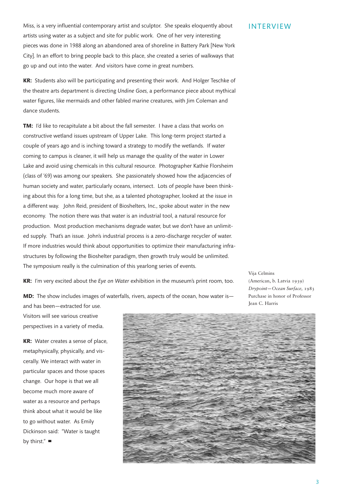Miss, is a very influential contemporary artist and sculptor. She speaks eloquently about artists using water as a subject and site for public work. One of her very interesting pieces was done in 1988 along an abandoned area of shoreline in Battery Park [New York City]. In an effort to bring people back to this place, she created a series of walkways that go up and out into the water. And visitors have come in great numbers.

**KR:** Students also will be participating and presenting their work. And Holger Teschke of the theatre arts department is directing *Undine Goes,* a performance piece about mythical water figures, like mermaids and other fabled marine creatures, with Jim Coleman and dance students.

**TM:** I'd like to recapitulate a bit about the fall semester. I have a class that works on constructive wetland issues upstream of Upper Lake. This long-term project started a couple of years ago and is inching toward a strategy to modify the wetlands. If water coming to campus is cleaner, it will help us manage the quality of the water in Lower Lake and avoid using chemicals in this cultural resource. Photographer Kathie Florsheim (class of '69) was among our speakers. She passionately showed how the adjacencies of human society and water, particularly oceans, intersect. Lots of people have been thinking about this for a long time, but she, as a talented photographer, looked at the issue in a different way. John Reid, president of Bioshelters, Inc., spoke about water in the new economy. The notion there was that water is an industrial tool, a natural resource for production. Most production mechanisms degrade water, but we don't have an unlimited supply. That's an issue. John's industrial process is a zero-discharge recycler of water. If more industries would think about opportunities to optimize their manufacturing infrastructures by following the Bioshelter paradigm, then growth truly would be unlimited. The symposium really is the culmination of this yearlong series of events.

**KR:** I'm very excited about the *Eye on Water* exhibition in the museum's print room, too.

**MD:** The show includes images of waterfalls, rivers, aspects of the ocean, how water is and has been—extracted for use.

Vija Celmins (American, b. Latvia 1939) *Drypoint—Ocean Surface,* 1983 Purchase in honor of Professor Jean C. Harris

Visitors will see various creative perspectives in a variety of media.

**KR:** Water creates a sense of place, metaphysically, physically, and viscerally. We interact with water in particular spaces and those spaces change. Our hope is that we all become much more aware of water as a resource and perhaps think about what it would be like to go without water. As Emily Dickinson said: "Water is taught by thirst." **■**

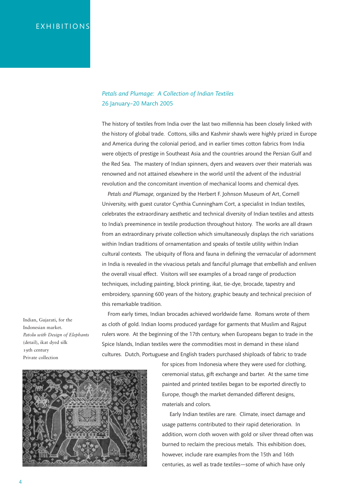## EXHIBITIONS

#### *Petals and Plumage: A Collection of Indian Textiles* 26 January–20 March 2005

The history of textiles from India over the last two millennia has been closely linked with the history of global trade. Cottons, silks and Kashmir shawls were highly prized in Europe and America during the colonial period, and in earlier times cotton fabrics from India were objects of prestige in Southeast Asia and the countries around the Persian Gulf and the Red Sea. The mastery of Indian spinners, dyers and weavers over their materials was renowned and not attained elsewhere in the world until the advent of the industrial revolution and the concomitant invention of mechanical looms and chemical dyes.

*Petals and Plumage,* organized by the Herbert F. Johnson Museum of Art, Cornell University, with guest curator Cynthia Cunningham Cort, a specialist in Indian textiles, celebrates the extraordinary aesthetic and technical diversity of Indian textiles and attests to India's preeminence in textile production throughout history. The works are all drawn from an extraordinary private collection which simultaneously displays the rich variations within Indian traditions of ornamentation and speaks of textile utility within Indian cultural contexts. The ubiquity of flora and fauna in defining the vernacular of adornment in India is revealed in the vivacious petals and fanciful plumage that embellish and enliven the overall visual effect. Visitors will see examples of a broad range of production techniques, including painting, block printing, ikat, tie-dye, brocade, tapestry and embroidery, spanning 600 years of the history, graphic beauty and technical precision of this remarkable tradition.

Indian, Gujarati, for the Indonesian market. *Patolu with Design of Elephants* (detail), ikat dyed silk 19th century Private collection

From early times, Indian brocades achieved worldwide fame. Romans wrote of them as cloth of gold. Indian looms produced yardage for garments that Muslim and Rajput rulers wore. At the beginning of the 17th century, when Europeans began to trade in the Spice Islands, Indian textiles were the commodities most in demand in these island cultures. Dutch, Portuguese and English traders purchased shiploads of fabric to trade



for spices from Indonesia where they were used for clothing, ceremonial status, gift exchange and barter. At the same time painted and printed textiles began to be exported directly to Europe, though the market demanded different designs, materials and colors.

Early Indian textiles are rare. Climate, insect damage and usage patterns contributed to their rapid deterioration. In addition, worn cloth woven with gold or silver thread often was burned to reclaim the precious metals. This exhibition does, however, include rare examples from the 15th and 16th centuries, as well as trade textiles—some of which have only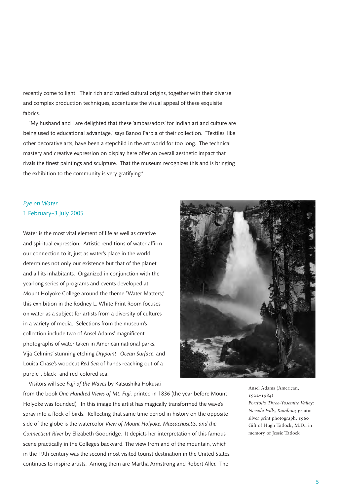recently come to light. Their rich and varied cultural origins, together with their diverse and complex production techniques, accentuate the visual appeal of these exquisite fabrics.

"My husband and I are delighted that these 'ambassadors' for Indian art and culture are being used to educational advantage," says Banoo Parpia of their collection. "Textiles, like other decorative arts, have been a stepchild in the art world for too long. The technical mastery and creative expression on display here offer an overall aesthetic impact that rivals the finest paintings and sculpture. That the museum recognizes this and is bringing the exhibition to the community is very gratifying."

## *Eye on Water* 1 February–3 July 2005

Water is the most vital element of life as well as creative and spiritual expression. Artistic renditions of water affirm our connection to it, just as water's place in the world determines not only our existence but that of the planet and all its inhabitants. Organized in conjunction with the yearlong series of programs and events developed at Mount Holyoke College around the theme "Water Matters," this exhibition in the Rodney L. White Print Room focuses on water as a subject for artists from a diversity of cultures in a variety of media. Selections from the museum's collection include two of Ansel Adams' magnificent photographs of water taken in American national parks, Vija Celmins' stunning etching *Drypoint—Ocean Surface,* and Louisa Chase's woodcut *Red Sea* of hands reaching out of a purple-, black- and red-colored sea.

Visitors will see *Fuji of the Waves* by Katsushika Hokusai

from the book *One Hundred Views of Mt. Fuji,* printed in 1836 (the year before Mount Holyoke was founded). In this image the artist has magically transformed the wave's spray into a flock of birds. Reflecting that same time period in history on the opposite side of the globe is the watercolor *View of Mount Holyoke, Massachusetts, and the Connecticut River* by Elizabeth Goodridge. It depicts her interpretation of this famous scene practically in the College's backyard. The view from and of the mountain, which in the 19th century was the second most visited tourist destination in the United States, continues to inspire artists. Among them are Martha Armstrong and Robert Aller. The

Ansel Adams (American, 1902–1984) *Portfolio Three-Yosemite Valley: Nevada Falls, Rainbow,* gelatin silver print photograph, 1960 Gift of Hugh Tatlock, M.D., in memory of Jessie Tatlock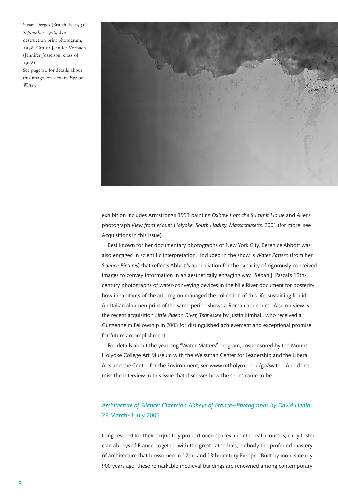Susan Derges (British, b. 1955) *September 1998,* dyedestruction print photogram, 1998. Gift of Jennifer Vorbach (Jennifer Josselson, class of 1978)

See page 10 for details about this image, on view in *Eye on Water.*



exhibition includes Armstrong's 1993 painting *Oxbow from the Summit House* and Aller's photograph *View from Mount Holyoke, South Hadley, Massachusetts,* 2001 (for more, see Acquisitions in this issue).

Best known for her documentary photographs of New York City, Berenice Abbott was also engaged in scientific interpretation. Included in the show is *Water Pattern* (from her *Science Pictures*) that reflects Abbott's appreciation for the capacity of rigorously conceived images to convey information in an aesthetically engaging way. Sébah J. Pascal's 19thcentury photographs of water-conveying devices in the Nile River document for posterity how inhabitants of the arid region managed the collection of this life-sustaining liquid. An Italian albumen print of the same period shows a Roman aqueduct. Also on view is the recent acquisition *Little Pigeon River, Tennessee* by Justin Kimball, who received a Guggenheim Fellowship in 2003 for distinguished achievement and exceptional promise for future accomplishment.

For details about the yearlong "Water Matters" program, cosponsored by the Mount Holyoke College Art Museum with the Weissman Center for Leadership and the Liberal Arts and the Center for the Environment, see www.mtholyoke.edu/go/water. And don't miss the interview in this issue that discusses how the series came to be.

## *Architecture of Silence: Cistercian Abbeys of France—Photographs by David Heald*  29 March–3 July 2005

Long revered for their exquisitely proportioned spaces and ethereal acoustics, early Cistercian abbeys of France, together with the great cathedrals, embody the profound mastery of architecture that blossomed in 12th- and 13th-century Europe. Built by monks nearly 900 years ago, these remarkable medieval buildings are renowned among contemporary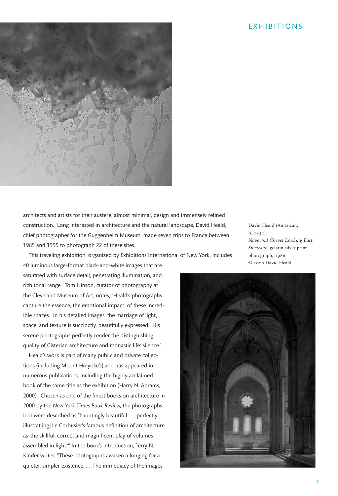#### EXHIBITIONS



architects and artists for their austere, almost minimal, design and immensely refined construction. Long interested in architecture and the natural landscape, David Heald, chief photographer for the Guggenheim Museum, made seven trips to France between 1985 and 1995 to photograph 22 of these sites.

David Heald (American, b. 1951) *Nave and Chevet Looking East, Silvacane,* gelatin silver print photograph, 1986 © 2000 David Heald

This traveling exhibition, organized by Exhibitions International of New York, includes

40 luminous large-format black-and-white images that are saturated with surface detail, penetrating illumination, and rich tonal range. Tom Hinson, curator of photography at the Cleveland Museum of Art, notes, "Heald's photographs capture the essence, the emotional impact, of these incredible spaces. In his detailed images, the marriage of light, space, and texture is succinctly, beautifully expressed. His serene photographs perfectly render the distinguishing quality of Cisterian architecture and monastic life: silence."

Heald's work is part of many public and private collections (including Mount Holyoke's) and has appeared in numerous publications, including the highly acclaimed book of the same title as the exhibition (Harry N. Abrams, 2000). Chosen as one of the finest books on architecture in 2000 by the *New York Times Book Review,* the photographs in it were described as "hauntingly beautiful . . . perfectly illustrat[ing] Le Corbusier's famous definition of architecture as 'the skillful, correct and magnificent play of volumes assembled in light.'" In the book's introduction, Terry N. Kinder writes, "These photographs awaken a longing for a quieter, simpler existence. . . .The immediacy of the images

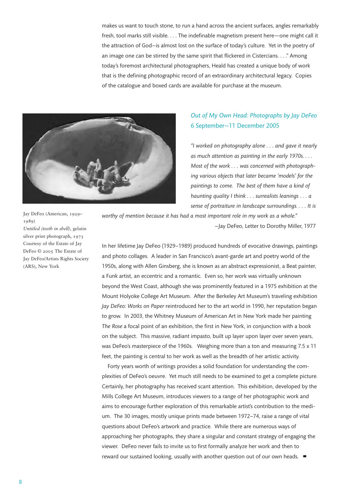makes us want to touch stone, to run a hand across the ancient surfaces, angles remarkably fresh, tool marks still visible. . . . The indefinable magnetism present here—one might call it the attraction of God—is almost lost on the surface of today's culture. Yet in the poetry of an image one can be stirred by the same spirit that flickered in Cistercians. . . ." Among today's foremost architectural photographers, Heald has created a unique body of work that is the defining photographic record of an extraordinary architectural legacy. Copies of the catalogue and boxed cards are available for purchase at the museum.



## *Out of My Own Head: Photographs by Jay DeFeo* 6 September—11 December 2005

*"I worked on photography alone . . . and gave it nearly as much attention as painting in the early 1970s. . . . Most of the work . . . was concerned with photographing various objects that later became 'models' for the paintings to come. The best of them have a kind of haunting quality I think . . . surrealists leanings . . . a sense of portraiture in landscape surroundings. . . . It is*

*worthy of mention because it has had a most important role in my work as a whole."* —Jay DeFeo, Letter to Dorothy Miller, 1977

In her lifetime Jay DeFeo (1929—1989) produced hundreds of evocative drawings, paintings and photo collages. A leader in San Francisco's avant-garde art and poetry world of the 1950s, along with Allen Ginsberg, she is known as an abstract expressionist, a Beat painter, a Funk artist, an eccentric and a romantic. Even so, her work was virtually unknown beyond the West Coast, although she was prominently featured in a 1975 exhibition at the Mount Holyoke College Art Museum. After the Berkeley Art Museum's traveling exhibition *Jay DeFeo: Works on Paper* reintroduced her to the art world in 1990, her reputation began to grow. In 2003, the Whitney Museum of American Art in New York made her painting *The Rose* a focal point of an exhibition, the first in New York, in conjunction with a book on the subject. This massive, radiant impasto, built up layer upon layer over seven years, was DeFeo's masterpiece of the 1960s. Weighing more than a ton and measuring 7.5 x 11 feet, the painting is central to her work as well as the breadth of her artistic activity.

Forty years worth of writings provides a solid foundation for understanding the complexities of DeFeo's oeuvre. Yet much still needs to be examined to get a complete picture. Certainly, her photography has received scant attention. This exhibition, developed by the Mills College Art Museum, introduces viewers to a range of her photographic work and aims to encourage further exploration of this remarkable artist's contribution to the medium. The 30 images, mostly unique prints made between 1972—74, raise a range of vital questions about DeFeo's artwork and practice. While there are numerous ways of approaching her photographs, they share a singular and constant strategy of engaging the viewer. DeFeo never fails to invite us to first formally analyze her work and then to reward our sustained looking, usually with another question out of our own heads. **■**

Jay DeFeo (American, 1929– 1989) *Untitled (teeth in shell),* gelatin silver print photograph, 1973 Courtesy of the Estate of Jay DeFeo © 2005 The Estate of Jay DeFeo/Artists Rights Society (ARS), New York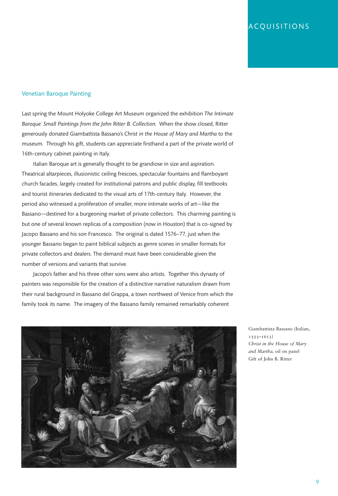## ACQUISITIONS

#### Venetian Baroque Painting

Last spring the Mount Holyoke College Art Museum organized the exhibition *The Intimate Baroque: Small Paintings from the John Ritter B. Collection.* When the show closed, Ritter generously donated Giambattista Bassano's *Christ in the House of Mary and Martha* to the museum. Through his gift, students can appreciate firsthand a part of the private world of 16th-century cabinet painting in Italy.

Italian Baroque art is generally thought to be grandiose in size and aspiration. Theatrical altarpieces, illusionistic ceiling frescoes, spectacular fountains and flamboyant church facades, largely created for institutional patrons and public display, fill textbooks and tourist itineraries dedicated to the visual arts of 17th-century Italy. However, the period also witnessed a proliferation of smaller, more intimate works of art—like the Bassano—destined for a burgeoning market of private collectors. This charming painting is but one of several known replicas of a composition (now in Houston) that is co-signed by Jacopo Bassano and his son Francesco. The original is dated 1576—77, just when the younger Bassano began to paint biblical subjects as genre scenes in smaller formats for private collectors and dealers. The demand must have been considerable given the number of versions and variants that survive.

Jacopo's father and his three other sons were also artists. Together this dynasty of painters was responsible for the creation of a distinctive narrative naturalism drawn from their rural background in Bassano del Grappa, a town northwest of Venice from which the family took its name. The imagery of the Bassano family remained remarkably coherent



Giambattista Bassano (Italian, 1553–1613) *Christ in the House of Mary and Martha,* oil on panel Gift of John B. Ritter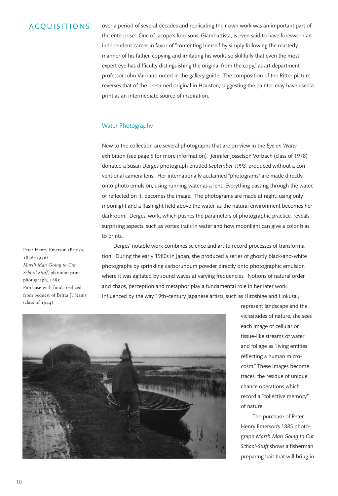#### ACQUISITIONS

over a period of several decades and replicating their own work was an important part of the enterprise. One of Jacopo's four sons, Giambattista, is even said to have foresworn an independent career in favor of "contenting himself by simply following the masterly manner of his father, copying and imitating his works so skillfully that even the most expert eye has difficulty distinguishing the original from the copy," as art department professor John Varriano noted in the gallery guide. The composition of the Ritter picture reverses that of the presumed original in Houston, suggesting the painter may have used a print as an intermediate source of inspiration.

#### Water Photography

New to the collection are several photographs that are on view in the *Eye on Water*  exhibition (see page 5 for more information). Jennifer Josselson Vorbach (class of 1978) donated a Susan Derges photograph entitled *September 1998,* produced without a conventional camera lens. Her internationally acclaimed "photograms" are made directly onto photo emulsion, using running water as a lens. Everything passing through the water, or reflected on it, becomes the image. The photograms are made at night, using only moonlight and a flashlight held above the water, as the natural environment becomes her darkroom. Derges' work, which pushes the parameters of photographic practice, reveals surprising aspects, such as vortex trails in water and how moonlight can give a color bias to prints.

Peter Henry Emerson (British, 1856–1936) *Marsh Man Going to Cut School-Stuff,* platinum print photograph, 1885 Purchase with funds realized from bequest of Britta J. Stamy (class of 1944)

Derges' notable work combines science and art to record processes of transformation. During the early 1980s in Japan, she produced a series of ghostly black-and-white photographs by sprinkling carborundum powder directly onto photographic emulsion where it was agitated by sound waves at varying frequencies. Notions of natural order and chaos, perception and metaphor play a fundamental role in her later work. Influenced by the way 19th-century Japanese artists, such as Hiroshige and Hokusai,



represent landscape and the vicissitudes of nature, she sees each image of cellular or tissue-like streams of water and foliage as "living entities reflecting a human microcosm." These images become traces, the residue of unique chance operations which record a "collective memory" of nature.

The purchase of Peter Henry Emerson's 1885 photograph *Marsh Man Going to Cut School-Stuff* shows a fisherman preparing bait that will bring in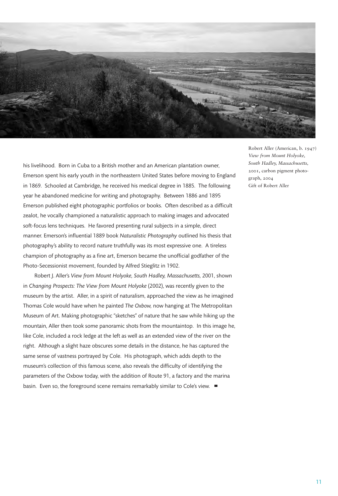

his livelihood. Born in Cuba to a British mother and an American plantation owner, Emerson spent his early youth in the northeastern United States before moving to England in 1869. Schooled at Cambridge, he received his medical degree in 1885. The following year he abandoned medicine for writing and photography. Between 1886 and 1895 Emerson published eight photographic portfolios or books. Often described as a difficult zealot, he vocally championed a naturalistic approach to making images and advocated soft-focus lens techniques. He favored presenting rural subjects in a simple, direct manner. Emerson's influential 1889 book *Naturalistic Photography* outlined his thesis that photography's ability to record nature truthfully was its most expressive one. A tireless champion of photography as a fine art, Emerson became the unofficial godfather of the Photo-Secessionist movement, founded by Alfred Stieglitz in 1902.

Robert J. Aller's *View from Mount Holyoke, South Hadley, Massachusetts,* 2001, shown in *Changing Prospects: The View from Mount Holyoke* (2002), was recently given to the museum by the artist. Aller, in a spirit of naturalism, approached the view as he imagined Thomas Cole would have when he painted *The Oxbow,* now hanging at The Metropolitan Museum of Art. Making photographic "sketches" of nature that he saw while hiking up the mountain, Aller then took some panoramic shots from the mountaintop. In this image he, like Cole, included a rock ledge at the left as well as an extended view of the river on the right. Although a slight haze obscures some details in the distance, he has captured the same sense of vastness portrayed by Cole. His photograph, which adds depth to the museum's collection of this famous scene, also reveals the difficulty of identifying the parameters of the Oxbow today, with the addition of Route 91, a factory and the marina basin. Even so, the foreground scene remains remarkably similar to Cole's view. **■**

Robert Aller (American, b. 1947) *View from Mount Holyoke, South Hadley, Massachusetts,* 2001, carbon pigment photograph, 2004 Gift of Robert Aller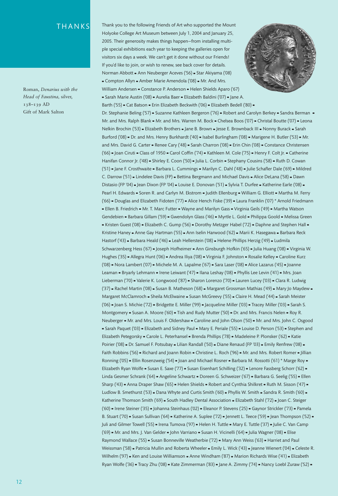#### THANKS

Roman, *Denarius with the Head of Faustina,* silver, 138–139 AD Gift of Mark Salton

Thank you to the following Friends of Art who supported the Mount Holyoke College Art Museum between July 1, 2004 and January 25, 2005. Their generosity makes things happen—from installing multiple special exhibitions each year to keeping the galleries open for visitors six days a week. We can't get it done without our Friends! If you'd like to join, or wish to renew, see back cover for details. Norman Abbott **■** Ann Neuberger Aceves ('56) **■** Star Akiyama ('08) **■** Compton Allyn **■** Amber Marie Amendola ('08) **■** Mr. And Mrs. William Andersen **■** Constance P. Anderson **■** Helen Shields Aparo ('67) **■** Sarah Marie Austin ('08) **■** Aurelia Baer **■** Elizabeth Baldini ('07) **■** Jane A. Barth ('55) **■** Cat Batson **■** Erin Elizabeth Beckwith ('06) **■** Elizabeth Bedell ('80) **■** Dr. Stephanie Beling ('57) **■** Suzanne Kathleen Bergeron ('76) **■** Robert and Carolyn Berkey **■** Sandra Berman **■** Mr. and Mrs. Ralph Blank **■** Mr. and Mrs. Warren M. Bock **■** Chelsea Boos ('07) **■** Christal Boutte ('07) **■** Leona Nelkin Brochin ('53) **■** Elizabeth Brothers **■** Jane B. Brown **■** Jesse E. Brownback III **■** Nonny Burack **■** Sarah Burford ('08) **■** Dr. and Mrs. Henry Burkhardt ('40) **■** Isabel Burlingham ('08) **■** Marigene H. Butler ('53) **■** Mr. and Mrs. David G. Carter **■** Renee Cary ('48) **■** Sarah Charron ('08) **■** Erin Chin ('08) **■** Constance Christensen ('66) **■** Joan Ciruti **■** Class of 1950 **■** Carol Coffin ('74) **■** Kathleen M. Cole ('75) **■** Henry F. Colt Jr. **■** Catherine Hanifan Connor Jr. ('48) **■** Shirley E. Coon ('50) **■** Julia L. Corbin **■** Stephany Cousins ('58) **■** Ruth D. Cowan ('51) **■** Jane F. Crosthwaite **■** Barbara L. Cummings **■** Marilyn C. Dahl ('48) **■** Julie Schafler Dale ('69) **■** Mildred C. Darrow ('51) **■** Lindelee Davis (FP) **■** Bettina Bergmann and Michael Davis **■** Alice DeLana ('58) **■** Dawn Distasio (FP '04) **■** Jean Dixon (FP '04) **■** Louise E. Donovan ('51) **■** Sylvia T. Durfee **■** Katherine Earle ('08) **■** Pearl H. Edwards **■** Soren R. and Carlyn M. Ekstrom **■** Judith Ellenburg **■** William G. Elliott **■** Martha M. Ferry ('66) **■** Douglas and Elizabeth Fidoten ('77) **■** Alice Hench Fiske ('39) **■** Laura Franklin ('07) \* Arnold Friedmann **■** Ellen B. Friedrich **■** Mr. T. Marc Futter **■** Wayne and Marilyn Gass **■** Virginia Geils ('49) **■** Martha Watson Gendebien **■** Barbara Gillam ('59) **■** Gwendolyn Glass ('46) **■** Myrtle L. Gold **■** Philippa Goold **■** Melissa Green **■** Kristen Guest ('08) **■** Elizabeth C. Gump ('56) **■** Dorothy Metzger Habel ('72) **■** Daphne and Stephen Hall **■** Kristine Haney **■** Anne Gay Hartman ('55) **■** Ann Iselin Harwood ('62) **■** Marii K. Hasegawa **■** Barbara Reck Hastorf ('43) **■** Barbara Heald ('46) **■** Leah Hellerstein ('08) **■** Helene Phillips Herzig ('49) **■** Ludmila Schwarzenberg Hess ('67) **■** Joseph Hofheimer **■** Ann Ginsburgh Hofkin ('65) **■** Julia Huang ('08) **■** Virginia W. Hughes ('35) **■** Allegra Hunt ('06) **■** Andrea Iliya ('08) **■** Virginia F. Johnston **■** Rosalie Kelley **■** Caroline Kurz ('08) **■** Nora Lambert ('07) **■** Michele M. A. Lapalme ('67) **■** Sara Laser ('08) **■** Alice Lazarus ('45) **■** Joanne Leaman **■** Bryarly Lehmann **■** Irene Leiwant ('47) **■** Ilana Leshay ('08) **■** Phyllis Lee Levin ('41) **■** Mrs. Joan Lieberman ('70) **■** Valerie K. Longwood ('87) **■** Sharon Lorenzo ('70) **■** Lauren Lucey ('03) **■** Clara R. Ludwig ('37) **■** Rachel Martin ('08) **■** Susan B. Matheson ('68) **■** Margaret Grossman Mathias ('49) **■** Mary Jo Maydew **■** Margaret McClamroch **■** Sheila McElwaine **■** Susan McGreevy ('55) **■** Claire H. Mead ('44) **■** Sarah Meister ('06) **■** Joan S. Michie ('72) **■** Bridgette E. Miller ('99) **■** Jacqueline Miller ('03) **■** Tracey Miller ('03) **■** Sarah S. Montgomery **■** Susan A. Moore ('60) **■** Tish and Rudy Mutter ('50) **■** Dr. and Mrs. Francis Nelen **■** Roy R. Neuberger **■** Mr. and Mrs. Louis F. Oldershaw **■** Caroline and John Olson ('50) **■** Mr. and Mrs. John C. Osgood **■** Sarah Paquet ('03) **■** Elizabeth and Sidney Paul **■** Mary E. Periale ('55) **■** Louise D. Person ('53) **■** Stephen and Elizabeth Petegorsky **■** Carole L. Peterhansel **■** Brenda Phillips ('78) **■** Madeleine P. Plonsker ('62) **■** Katie Poirier ('08) **■** Dr. Samuel F. Potsubay **■** Lilian Randall ('50) **■** Diane Renaud (FP '03) **■** Emily Renfrew ('08) **■** Faith Robbins ('56) **■** Richard and Joann Robin **■** Christine L. Roch ('96) **■** Mr. and Mrs. Robert Romer **■** Jillian Ronning ('05) **■** Ellin Rosenzweig ('54) **■** Joan and Michael Rosner **■** Barbara M. Rossotti ('61) \* Marge Roy **■** Elizabeth Ryan Wolfe **■** Susan E. Saxe ('77) **■** Susan Eisenhart Schilling ('32) **■** Lenore Fassberg Schorr ('62) **■** Linda Gesmer Schrank ('64) **■** Angeline Schwartz **■** Doreen G. Schweizer ('67) **■** Barbara G. Seelig ('55) **■** Ellen Sharp ('43) **■** Anna Draper Shaw ('65) **■** Helen Shields **■** Robert and Cynthia Shilkret **■** Ruth M. Sisson ('47) **■** Ludlow B. Smethurst ('53) **■** Dana Whyte and Curtis Smith ('60) **■** Phyllis W. Smith **■** Sandra R. Smith ('60) **■** Katherine Thomson Smith ('69) **■** South Hadley Dental Association **■** Elizabeth Stahl ('72) **■** Joan C. Steiger ('60) **■** Irene Steiner ('35) **■** Johanna Steinhaus ('02) **■** Eleanor P. Stevens ('25) **■** Gaynor Strickler ('73) **■** Pamela B. Stuart ('70) **■** Susan Sullivan ('64) **■** Katherine A. Suplee ('72) **■** Jennett L. Teece ('59) **■** Jean Thompson ('52) **■** Juli and Gilmer Towell ('55) **■** Irena Tumova ('97) **■** Helen H. Tuttle **■** Mary E. Tuttle ('37) **■** Julie C. Van Camp ('69) **■** Mr. and Mrs. J. Van Gelder **■** John Varriano **■** Susan H. Vicinelli ('64) **■** Julia Wagner ('08) **■** Elise Raymond Wallace ('55) **■** Susan Bonneville Weatherbie ('72) **■** Mary Ann Weiss ('63) **■** Harriet and Paul Weissman ('58) **■** Patricia Mullin and Roberta Wheeler **■** Emily L. Wick ('43) **■** Jeanne Wienert ('04) **■** Celeste R. Wilhelm ('97) **■** Ken and Louise Williamson **■** Anne Windham ('87) **■** Marion Richards Wise ('41) **■** Elizabeth Ryan Wolfe ('36) **■** Tracy Zhu ('08) **■** Kate Zimmerman ('83) **■** Jane A. Zimmy ('74) **■** Nancy Loebl Zuraw ('52) **■**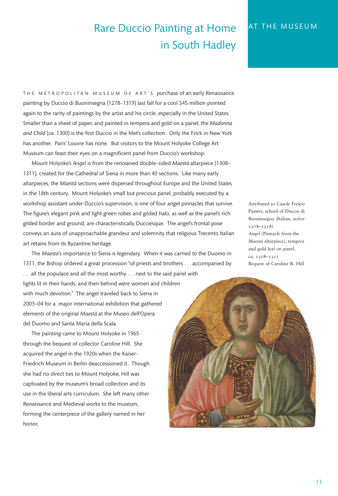# Rare Duccio Painting at Home in South Hadley

THE METROPOLITAN MUSEUM OF ART'S purchase of an early Renaissance painting by Duccio di Buoninsegna (1278–1319) last fall for a cool \$45 million pointed again to the rarity of paintings by the artist and his circle, especially in the United States. Smaller than a sheet of paper, and painted in tempera and gold on a panel, the *Madonna and Child* (ca. 1300) is the first Duccio in the Met's collection. Only the Frick in New York has another. Paris' Louvre has none. But visitors to the Mount Holyoke College Art Museum can feast their eyes on a magnificent panel from Duccio's workshop.

Mount Holyoke's *Angel* is from the renowned double-sided *Maesta`* altarpiece (1308– 1311), created for the Cathedral of Siena in more than 40 sections. Like many early altarpieces, the *Maesta`* sections were dispersed throughout Europe and the United States in the 18th century. Mount Holyoke's small but precious panel, probably executed by a workshop assistant under Duccio's supervision, is one of four angel pinnacles that survive. The figure's elegant pink and light green robes and gilded halo, as well as the panel's rich gilded border and ground, are characteristically Ducciesque. The angel's frontal pose conveys an aura of unapproachable grandeur and solemnity that religious Trecento Italian art retains from its Byzantine heritage.

The *Maestà's* importance to Siena is legendary. When it was carried to the Duomo in 1311, the Bishop ordered a great procession "of priests and brothers . . . accompanied by ... all the populace and all the most worthy ... next to the said panel with lights lit in their hands, and then behind were women and children with much devotion." The angel traveled back to Siena in 2003–04 for a major international exhibition that gathered elements of the original *Maesta`* at the Museo dell'Opera del Duomo and Santa Maria della Scala.

The painting came to Mount Holyoke in 1965 through the bequest of collector Caroline Hill. She acquired the angel in the 1920s when the Kaiser-Friedrich Museum in Berlin deaccessioned it. Though she had no direct ties to Mount Holyoke, Hill was captivated by the museum's broad collection and its use in the liberal arts curriculum. She left many other Renaissance and Medieval works to the museum, forming the centerpiece of the gallery named in her honor.

Attributed to Casole Fresco Painter, school of Duccio di Buoninsegna (Italian, active 1278–1318) *Angel* (Pinnacle from the *Maesta`* altarpiece), tempera and gold leaf on panel, ca. 1308–1311 Bequest of Caroline R. Hill